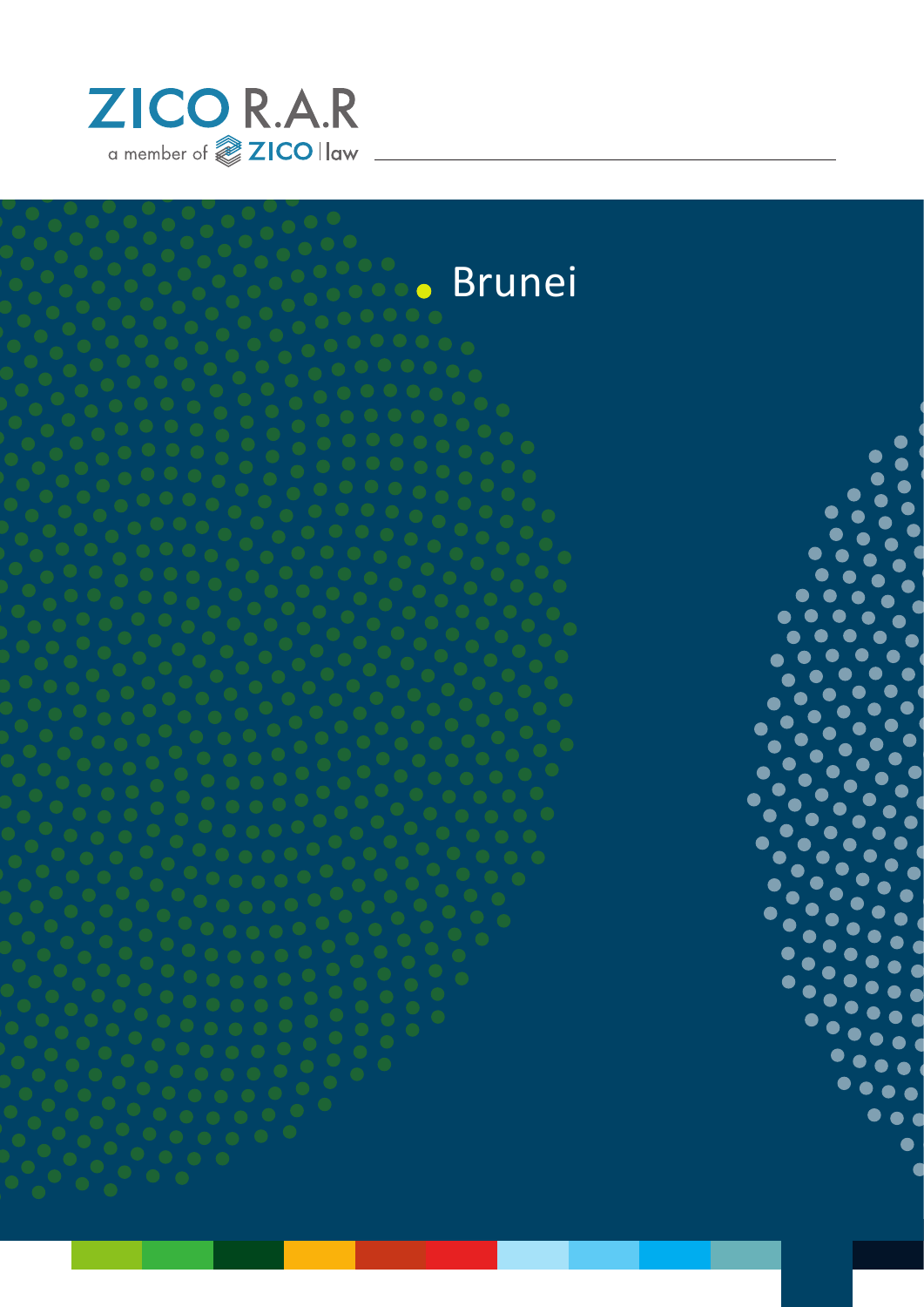





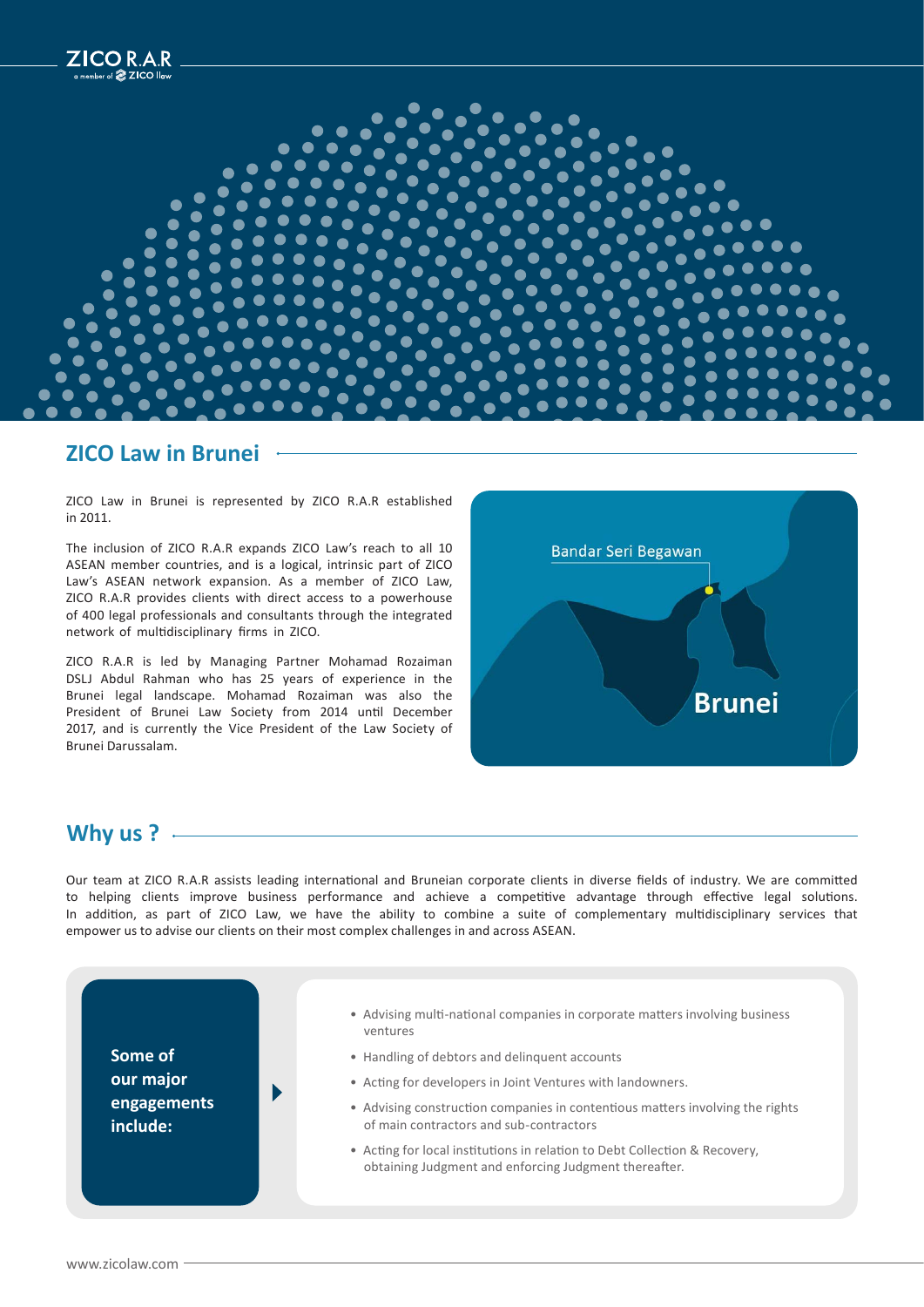

#### **ZICO Law in Brunei**

ZICO Law in Brunei is represented by ZICO R.A.R established in 2011.

The inclusion of ZICO R.A.R expands ZICO Law's reach to all 10 ASEAN member countries, and is a logical, intrinsic part of ZICO Law's ASEAN network expansion. As a member of ZICO Law, ZICO R.A.R provides clients with direct access to a powerhouse of 400 legal professionals and consultants through the integrated network of multidisciplinary firms in ZICO.

ZICO R.A.R is led by Managing Partner Mohamad Rozaiman DSLJ Abdul Rahman who has 25 years of experience in the Brunei legal landscape. Mohamad Rozaiman was also the President of Brunei Law Society from 2014 until December 2017, and is currently the Vice President of the Law Society of Brunei Darussalam.



### **Why us ?**

Our team at ZICO R.A.R assists leading international and Bruneian corporate clients in diverse fields of industry. We are committed to helping clients improve business performance and achieve a competitive advantage through effective legal solutions. In addition, as part of ZICO Law, we have the ability to combine a suite of complementary multidisciplinary services that empower us to advise our clients on their most complex challenges in and across ASEAN.

**Some of our major engagements include:**



- Advising multi-national companies in corporate matters involving business ventures
- Handling of debtors and delinquent accounts
- Acting for developers in Joint Ventures with landowners.
- Advising construction companies in contentious matters involving the rights of main contractors and sub-contractors
- Acting for local institutions in relation to Debt Collection & Recovery, obtaining Judgment and enforcing Judgment thereafter.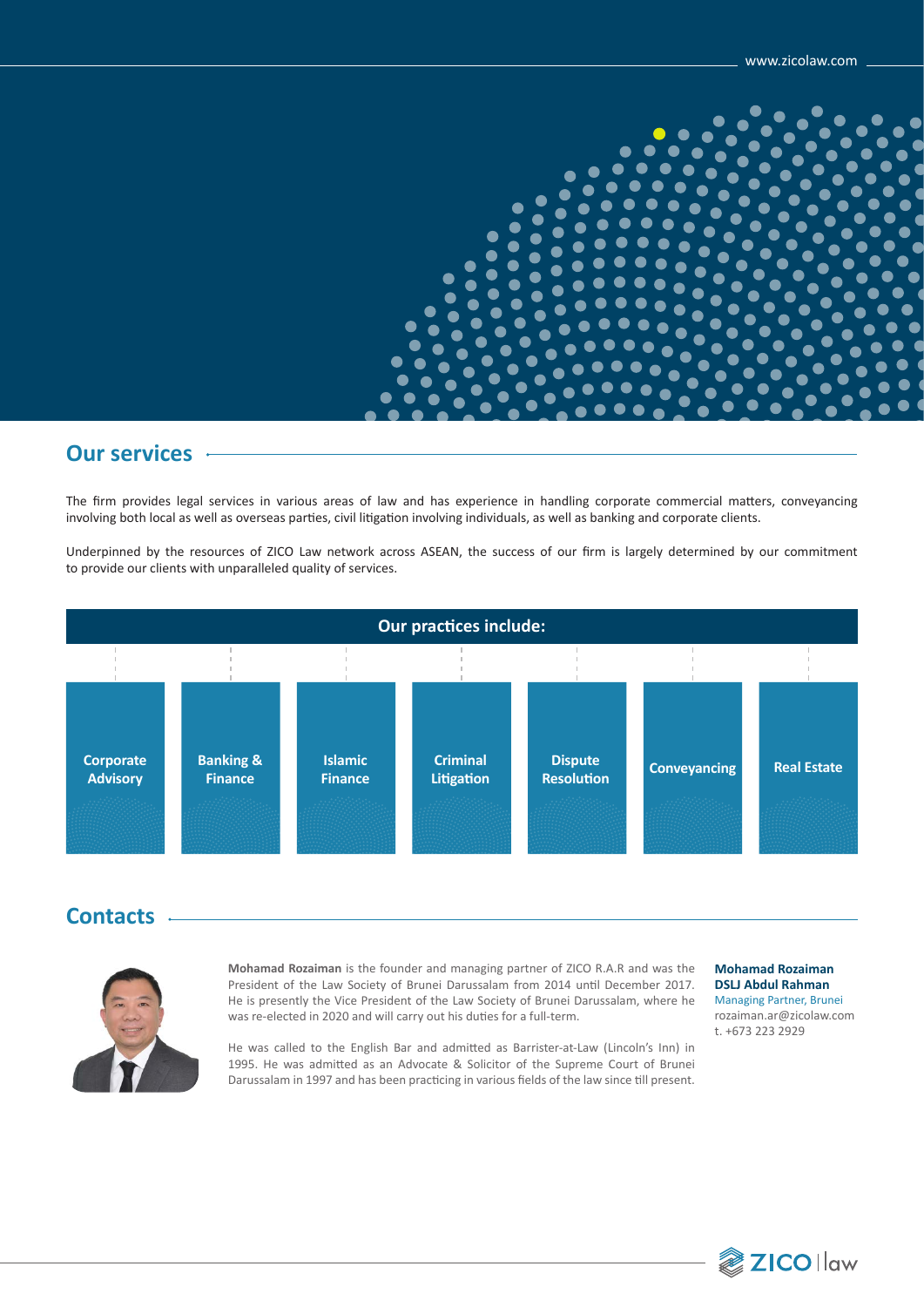

## **Our services**

The firm provides legal services in various areas of law and has experience in handling corporate commercial matters, conveyancing involving both local as well as overseas parties, civil litigation involving individuals, as well as banking and corporate clients.

Underpinned by the resources of ZICO Law network across ASEAN, the success of our firm is largely determined by our commitment to provide our clients with unparalleled quality of services.



### **Contacts**



**Mohamad Rozaiman** is the founder and managing partner of ZICO R.A.R and was the President of the Law Society of Brunei Darussalam from 2014 until December 2017. He is presently the Vice President of the Law Society of Brunei Darussalam, where he was re-elected in 2020 and will carry out his duties for a full-term.

He was called to the English Bar and admitted as Barrister-at-Law (Lincoln's Inn) in 1995. He was admitted as an Advocate & Solicitor of the Supreme Court of Brunei Darussalam in 1997 and has been practicing in various fields of the law since till present.

#### **Mohamad Rozaiman DSLJ Abdul Rahman** Managing Partner, Brunei

rozaiman.ar@zicolaw.com t. +673 223 2929